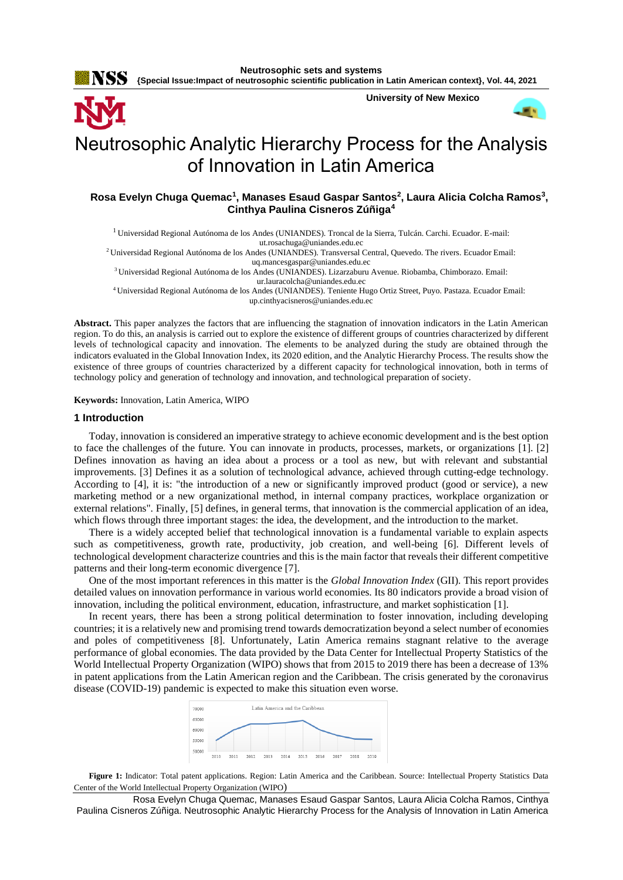**Neutrosophic sets and systems {Special Issue:Impact of neutrosophic scientific publication in Latin American context}, Vol. 44, 2021**



# Neutrosophic Analytic Hierarchy Process for the Analysis of Innovation in Latin America

**Rosa Evelyn Chuga Quemac<sup>1</sup> , Manases Esaud Gaspar Santos<sup>2</sup> , Laura Alicia Colcha Ramos<sup>3</sup> , Cinthya Paulina Cisneros Zúñiga<sup>4</sup>**

<sup>1</sup>Universidad Regional Autónoma de los Andes (UNIANDES). Troncal de la Sierra, Tulcán. Carchi. Ecuador. E-mail: [ut.rosachuga@uniandes.edu.ec](mailto:ut.rosachuga@uniandes.edu.ec)

<sup>2</sup>Universidad Regional Autónoma de los Andes (UNIANDES). Transversal Central, Quevedo. The rivers. Ecuador Email: [uq.mancesgaspar@uniandes.edu.ec](mailto:uq.mancesgaspar@uniandes.edu.ec)

<sup>3</sup>Universidad Regional Autónoma de los Andes (UNIANDES). Lizarzaburu Avenue. Riobamba, Chimborazo. Email: [ur.lauracolcha@uniandes.edu.ec](mailto:ur.lauracolcha@uniandes.edu.ec)

<sup>4</sup>Universidad Regional Autónoma de los Andes (UNIANDES). Teniente Hugo Ortiz Street, Puyo. Pastaza. Ecuador Email: [up.cinthyacisneros@uniandes.edu.ec](mailto:up.cinthyacisneros@uniandes.edu.ec)

**Abstract.** This paper analyzes the factors that are influencing the stagnation of innovation indicators in the Latin American region. To do this, an analysis is carried out to explore the existence of different groups of countries characterized by different levels of technological capacity and innovation. The elements to be analyzed during the study are obtained through the indicators evaluated in the Global Innovation Index, its 2020 edition, and the Analytic Hierarchy Process. The results show the existence of three groups of countries characterized by a different capacity for technological innovation, both in terms of technology policy and generation of technology and innovation, and technological preparation of society.

**Keywords:** Innovation, Latin America, WIPO

### **1 Introduction**

Today, innovation is considered an imperative strategy to achieve economic development and is the best option to face the challenges of the future. You can innovate in products, processes, markets, or organizations [1]. [2] Defines innovation as having an idea about a process or a tool as new, but with relevant and substantial improvements. [3] Defines it as a solution of technological advance, achieved through cutting-edge technology. According to [4], it is: "the introduction of a new or significantly improved product (good or service), a new marketing method or a new organizational method, in internal company practices, workplace organization or external relations". Finally, [5] defines, in general terms, that innovation is the commercial application of an idea, which flows through three important stages: the idea, the development, and the introduction to the market.

There is a widely accepted belief that technological innovation is a fundamental variable to explain aspects such as competitiveness, growth rate, productivity, job creation, and well-being [6]. Different levels of technological development characterize countries and this is the main factor that reveals their different competitive patterns and their long-term economic divergence [7].

One of the most important references in this matter is the *Global Innovation Index* (GII). This report provides detailed values on innovation performance in various world economies. Its 80 indicators provide a broad vision of innovation, including the political environment, education, infrastructure, and market sophistication [1].

In recent years, there has been a strong political determination to foster innovation, including developing countries; it is a relatively new and promising trend towards democratization beyond a select number of economies and poles of competitiveness [8]. Unfortunately, Latin America remains stagnant relative to the average performance of global economies. The data provided by the Data Center for Intellectual Property Statistics of the World Intellectual Property Organization (WIPO) shows that from 2015 to 2019 there has been a decrease of 13% in patent applications from the Latin American region and the Caribbean. The crisis generated by the coronavirus disease (COVID-19) pandemic is expected to make this situation even worse.



**Figure 1:** Indicator: Total patent applications. Region: Latin America and the Caribbean. Source: Intellectual Property Statistics Data Center of the World Intellectual Property Organization (WIPO)

Rosa Evelyn Chuga Quemac, Manases Esaud Gaspar Santos, Laura Alicia Colcha Ramos, Cinthya Paulina Cisneros Zúñiga. Neutrosophic Analytic Hierarchy Process for the Analysis of Innovation in Latin America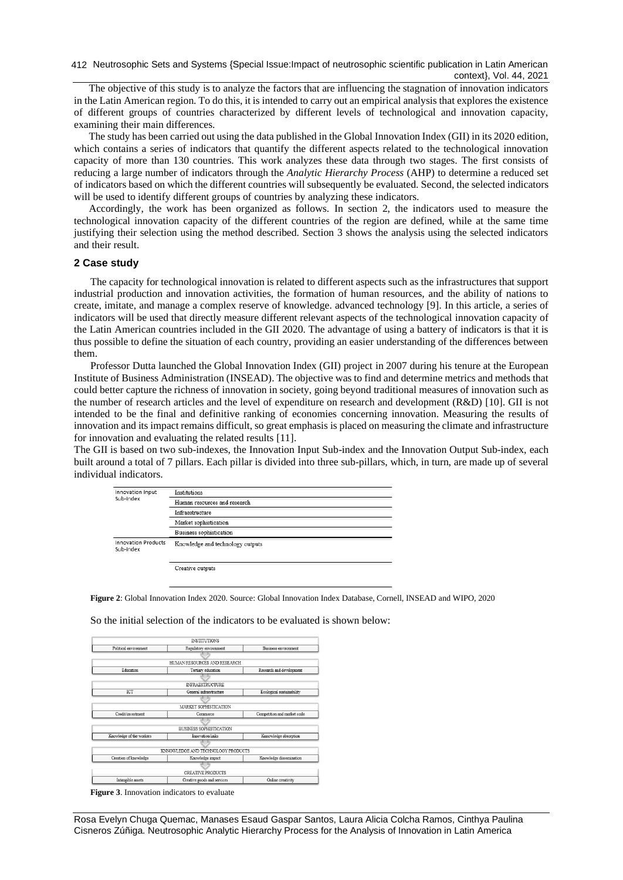The objective of this study is to analyze the factors that are influencing the stagnation of innovation indicators in the Latin American region. To do this, it is intended to carry out an empirical analysis that explores the existence of different groups of countries characterized by different levels of technological and innovation capacity, examining their main differences.

The study has been carried out using the data published in the Global Innovation Index (GII) in its 2020 edition, which contains a series of indicators that quantify the different aspects related to the technological innovation capacity of more than 130 countries. This work analyzes these data through two stages. The first consists of reducing a large number of indicators through the *Analytic Hierarchy Process* (AHP) to determine a reduced set of indicators based on which the different countries will subsequently be evaluated. Second, the selected indicators will be used to identify different groups of countries by analyzing these indicators.

Accordingly, the work has been organized as follows. In section 2, the indicators used to measure the technological innovation capacity of the different countries of the region are defined, while at the same time justifying their selection using the method described. Section 3 shows the analysis using the selected indicators and their result.

### **2 Case study**

The capacity for technological innovation is related to different aspects such as the infrastructures that support industrial production and innovation activities, the formation of human resources, and the ability of nations to create, imitate, and manage a complex reserve of knowledge. advanced technology [9]. In this article, a series of indicators will be used that directly measure different relevant aspects of the technological innovation capacity of the Latin American countries included in the GII 2020. The advantage of using a battery of indicators is that it is thus possible to define the situation of each country, providing an easier understanding of the differences between them.

Professor Dutta launched the Global Innovation Index (GII) project in 2007 during his tenure at the European Institute of Business Administration (INSEAD). The objective was to find and determine metrics and methods that could better capture the richness of innovation in society, going beyond traditional measures of innovation such as the number of research articles and the level of expenditure on research and development (R&D) [10]. GII is not intended to be the final and definitive ranking of economies concerning innovation. Measuring the results of innovation and its impact remains difficult, so great emphasis is placed on measuring the climate and infrastructure for innovation and evaluating the related results [11].

The GII is based on two sub-indexes, the Innovation Input Sub-index and the Innovation Output Sub-index, each built around a total of 7 pillars. Each pillar is divided into three sub-pillars, which, in turn, are made up of several individual indicators.

| Innovation Input                        | Institutions                     |  |
|-----------------------------------------|----------------------------------|--|
| Sub-index                               | Human resources and research     |  |
|                                         | Infraestructure                  |  |
|                                         | Market sophistication            |  |
|                                         | Business sophistication          |  |
| <b>Innovation Products</b><br>Sub-index | Knowledge and technology outputs |  |
|                                         | Creative outputs                 |  |

**Figure 2**: Global Innovation Index 2020. Source: Global Innovation Index Database, Cornell, INSEAD and WIPO, 2020

|                          | <b>INSTITUTIONS</b>                |                              |
|--------------------------|------------------------------------|------------------------------|
| Political environment    | Regulatory environment             | Business environment         |
|                          |                                    |                              |
|                          | HUMAN RESOURCES AND RESEARCH       |                              |
| Education                | Tertiary education                 | Research and development     |
|                          |                                    |                              |
|                          | <b>INFRAESTRUCTURE</b>             |                              |
| ICT                      | General infraestructure            | Ecological sustainability    |
|                          |                                    |                              |
|                          | MARKET SOPHISTICATION              |                              |
| Credit/investment        | Commerce                           | Competition and market scale |
|                          |                                    |                              |
|                          | BUSINESS SOPHISTICATION            |                              |
| Knowledge of the workers | Innovation links                   | Knnowledge absorption        |
|                          |                                    |                              |
|                          | KNNOWLEDGE AND TECHNOLOGY PRODUCTS |                              |
| Creation of knowledge    | Knowledge impact                   | Knowledge dissemination      |
|                          |                                    |                              |
|                          | CREATIVE PRODUCTS                  |                              |
| Intangible assets        | Creative goods and services        | Online creativity            |

So the initial selection of the indicators to be evaluated is shown below:

**Figure 3**. Innovation indicators to evaluate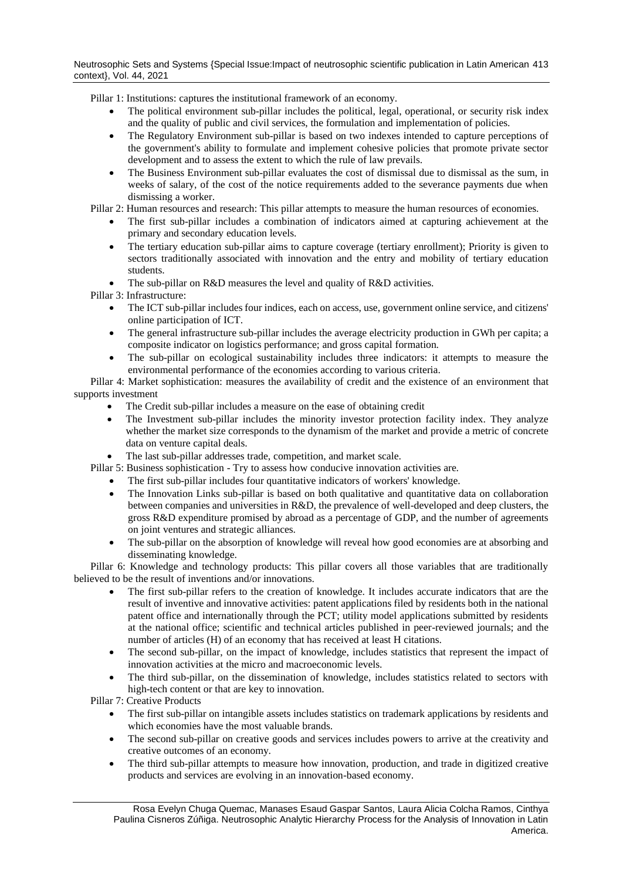Pillar 1: Institutions: captures the institutional framework of an economy.

- The political environment sub-pillar includes the political, legal, operational, or security risk index and the quality of public and civil services, the formulation and implementation of policies.
- The Regulatory Environment sub-pillar is based on two indexes intended to capture perceptions of the government's ability to formulate and implement cohesive policies that promote private sector development and to assess the extent to which the rule of law prevails.
- The Business Environment sub-pillar evaluates the cost of dismissal due to dismissal as the sum, in weeks of salary, of the cost of the notice requirements added to the severance payments due when dismissing a worker.

Pillar 2: Human resources and research: This pillar attempts to measure the human resources of economies.

- The first sub-pillar includes a combination of indicators aimed at capturing achievement at the primary and secondary education levels.
- The tertiary education sub-pillar aims to capture coverage (tertiary enrollment); Priority is given to sectors traditionally associated with innovation and the entry and mobility of tertiary education students.
- The sub-pillar on R&D measures the level and quality of R&D activities.

Pillar 3: Infrastructure:

- The ICT sub-pillar includes four indices, each on access, use, government online service, and citizens' online participation of ICT.
- The general infrastructure sub-pillar includes the average electricity production in GWh per capita; a composite indicator on logistics performance; and gross capital formation.
- The sub-pillar on ecological sustainability includes three indicators: it attempts to measure the environmental performance of the economies according to various criteria.

Pillar 4: Market sophistication: measures the availability of credit and the existence of an environment that supports investment

- The Credit sub-pillar includes a measure on the ease of obtaining credit
- The Investment sub-pillar includes the minority investor protection facility index. They analyze whether the market size corresponds to the dynamism of the market and provide a metric of concrete data on venture capital deals.
- The last sub-pillar addresses trade, competition, and market scale.
- Pillar 5: Business sophistication Try to assess how conducive innovation activities are.
	- The first sub-pillar includes four quantitative indicators of workers' knowledge.
	- The Innovation Links sub-pillar is based on both qualitative and quantitative data on collaboration between companies and universities in R&D, the prevalence of well-developed and deep clusters, the gross R&D expenditure promised by abroad as a percentage of GDP, and the number of agreements on joint ventures and strategic alliances.
	- The sub-pillar on the absorption of knowledge will reveal how good economies are at absorbing and disseminating knowledge.

Pillar 6: Knowledge and technology products: This pillar covers all those variables that are traditionally believed to be the result of inventions and/or innovations.

- The first sub-pillar refers to the creation of knowledge. It includes accurate indicators that are the result of inventive and innovative activities: patent applications filed by residents both in the national patent office and internationally through the PCT; utility model applications submitted by residents at the national office; scientific and technical articles published in peer-reviewed journals; and the number of articles (H) of an economy that has received at least H citations.
- The second sub-pillar, on the impact of knowledge, includes statistics that represent the impact of innovation activities at the micro and macroeconomic levels.
- The third sub-pillar, on the dissemination of knowledge, includes statistics related to sectors with high-tech content or that are key to innovation.

Pillar 7: Creative Products

- The first sub-pillar on intangible assets includes statistics on trademark applications by residents and which economies have the most valuable brands.
- The second sub-pillar on creative goods and services includes powers to arrive at the creativity and creative outcomes of an economy.
- The third sub-pillar attempts to measure how innovation, production, and trade in digitized creative products and services are evolving in an innovation-based economy.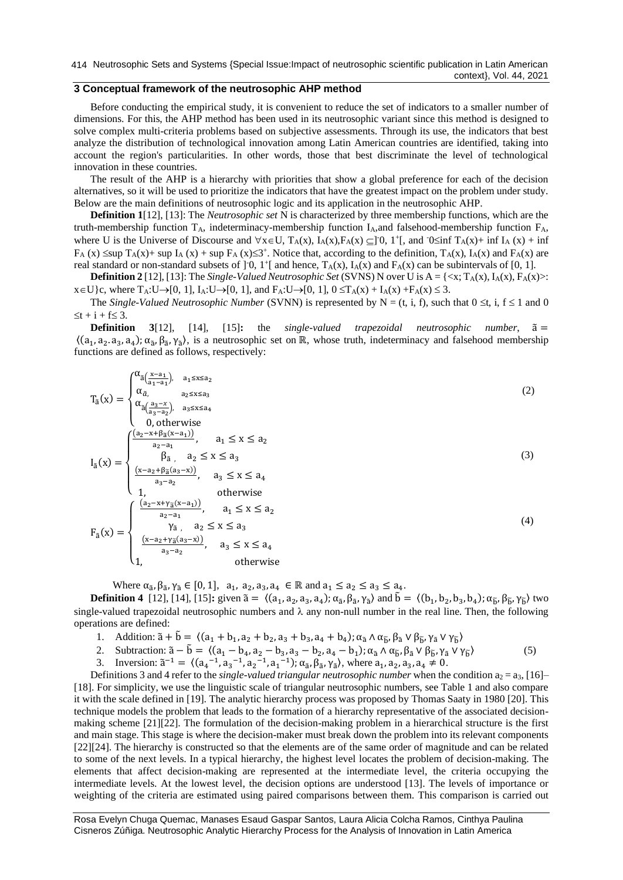414 Neutrosophic Sets and Systems {Special Issue:Impact of neutrosophic scientific publication in Latin American context}, Vol. 44, 2021

# **3 Conceptual framework of the neutrosophic AHP method**

Before conducting the empirical study, it is convenient to reduce the set of indicators to a smaller number of dimensions. For this, the AHP method has been used in its neutrosophic variant since this method is designed to solve complex multi-criteria problems based on subjective assessments. Through its use, the indicators that best analyze the distribution of technological innovation among Latin American countries are identified, taking into account the region's particularities. In other words, those that best discriminate the level of technological innovation in these countries.

The result of the AHP is a hierarchy with priorities that show a global preference for each of the decision alternatives, so it will be used to prioritize the indicators that have the greatest impact on the problem under study. Below are the main definitions of neutrosophic logic and its application in the neutrosophic AHP.

**Definition 1**[12], [13]: The *Neutrosophic set* N is characterized by three membership functions, which are the truth-membership function TA, indeterminacy-membership function IA,and falsehood-membership function FA, where U is the Universe of Discourse and  $\forall x \in U$ ,  $T_A(x)$ ,  $I_A(x)$ ,  $F_A(x) \subseteq ]0$ ,  $1^+$ [, and  $0 \le \inf T_A(x) + \inf I_A(x) + \inf$  $F_A(x) \leq \sup T_A(x) + \sup I_A(x) + \sup F_A(x) \leq 3^+$ . Notice that, according to the definition,  $T_A(x)$ ,  $I_A(x)$  and  $F_A(x)$  are real standard or non-standard subsets of  $]0, 1^{\dagger}$  and hence,  $T_A(x)$ ,  $I_A(x)$  and  $F_A(x)$  can be subintervals of [0, 1].

**Definition 2** [12], [13]: The *Single-Valued Neutrosophic Set* (SVNS) N over U is  $A = \{ \langle x, T_A(x), I_A(x), F_A(x) \rangle :$  $x \in U$  }c, where  $T_A: U \rightarrow [0, 1]$ ,  $I_A: U \rightarrow [0, 1]$ , and  $F_A: U \rightarrow [0, 1]$ ,  $0 \le T_A(x) + I_A(x) + F_A(x) \le 3$ .

The *Single-Valued Neutrosophic Number* (SVNN) is represented by  $N = (t, i, f)$ , such that  $0 \le t$ , i,  $f \le 1$  and 0  $\leq t + i + f \leq 3.$ 

**Definition 3**[12], [14], [15]**:** the *single-valued trapezoidal neutrosophic number*, ã =  $\langle (a_1, a_2, a_3, a_4), \alpha_{\tilde{a}}, \beta_{\tilde{a}}, \gamma_{\tilde{a}} \rangle$ , is a neutrosophic set on ℝ, whose truth, indeterminacy and falsehood membership functions are defined as follows, respectively:

$$
T_{\tilde{a}}(x) = \begin{cases} \alpha_{\tilde{a}}\left(\frac{x-a_1}{a_1-a_1}\right), & a_1 \le x \le a_2\\ \alpha_{\tilde{a}}, & a_2 \le x \le a_3\\ \alpha_{\tilde{a}}\left(\frac{a_3-x}{a_3-a_2}\right), & a_3 \le x \le a_4\\ 0, \text{ otherwise} \end{cases}
$$
\n
$$
I_{\tilde{a}}(x) = \begin{cases} \frac{(a_2 - x + \beta_{\tilde{a}}(x-a_1))}{a_2-a_1}, & a_1 \le x \le a_2\\ \beta_{\tilde{a}}, & a_2 \le x \le a_3\\ \frac{(x-a_2 + \beta_{\tilde{a}}(a_3-x))}{a_3-a_2}, & a_3 \le x \le a_4\\ 1, & \text{otherwise} \end{cases}
$$
\n
$$
F_{\tilde{a}}(x) = \begin{cases} \frac{(a_2 - x + \gamma_{\tilde{a}}(x-a_1))}{a_2-a_1}, & a_1 \le x \le a_2\\ \gamma_{\tilde{a}}, & a_2 \le x \le a_3\\ \gamma_{\tilde{a}}, & a_2 \le x \le a_3\\ \frac{(x-a_2 + \gamma_{\tilde{a}}(a_3-x))}{a_3-a_2}, & a_3 \le x \le a_4 \end{cases}
$$
\n
$$
(4)
$$

otherwise

 $\overline{\mathcal{L}}$ 

Where  $\alpha_{\tilde{a}}, \beta_{\tilde{a}}, \gamma_{\tilde{a}} \in [0, 1], a_1, a_2, a_3, a_4 \in \mathbb{R}$  and  $a_1 \le a_2 \le a_3 \le a_4$ .

**Definition 4** [12], [14], [15]: given  $\tilde{a} = \langle (a_1, a_2, a_3, a_4); \alpha_{\tilde{a}}, \beta_{\tilde{a}}, \gamma_{\tilde{a}} \rangle$  and  $\tilde{b} = \langle (b_1, b_2, b_3, b_4); \alpha_{\tilde{b}}, \beta_{\tilde{b}}, \gamma_{\tilde{b}} \rangle$  two single-valued trapezoidal neutrosophic numbers and  $\lambda$  any non-null number in the real line. Then, the following operations are defined:

- 1. Addition:  $\tilde{a} + \tilde{b} = \langle (a_1 + b_1, a_2 + b_2, a_3 + b_3, a_4 + b_4); \alpha_{\tilde{a}} \wedge \alpha_{\tilde{b}}, \beta_{\tilde{a}} \vee \beta_{\tilde{b}}, \gamma_{\tilde{a}} \vee \gamma_{\tilde{b}} \rangle$
- 2. Subtraction:  $\tilde{a} \tilde{b} = \langle (a_1 b_4, a_2 b_3, a_3 b_2, a_4 b_1) ; \alpha_{\tilde{a}} \wedge \alpha_{\tilde{b}}, \beta_{\tilde{a}} \vee \beta_{\tilde{b}}, \gamma_{\tilde{a}} \vee \gamma_{\tilde{b}} \rangle$  (5)
- 3. Inversion:  $\tilde{a}^{-1} = \langle (a_4^{-1}, a_3^{-1}, a_2^{-1}, a_1^{-1}) ; \alpha_{\tilde{a}}, \beta_{\tilde{a}}, \gamma_{\tilde{a}} \rangle$ , where  $a_1, a_2, a_3, a_4 \neq 0$ .

Definitions 3 and 4 refer to the *single-valued triangular neutrosophic number* when the condition  $a_2 = a_3$ , [16]– [18]. For simplicity, we use the linguistic scale of triangular neutrosophic numbers, see Table 1 and also compare it with the scale defined in [19]. The analytic hierarchy process was proposed by Thomas Saaty in 1980 [20]. This technique models the problem that leads to the formation of a hierarchy representative of the associated decisionmaking scheme [21][22]. The formulation of the decision-making problem in a hierarchical structure is the first and main stage. This stage is where the decision-maker must break down the problem into its relevant components [22][24]. The hierarchy is constructed so that the elements are of the same order of magnitude and can be related to some of the next levels. In a typical hierarchy, the highest level locates the problem of decision-making. The elements that affect decision-making are represented at the intermediate level, the criteria occupying the intermediate levels. At the lowest level, the decision options are understood [13]. The levels of importance or weighting of the criteria are estimated using paired comparisons between them. This comparison is carried out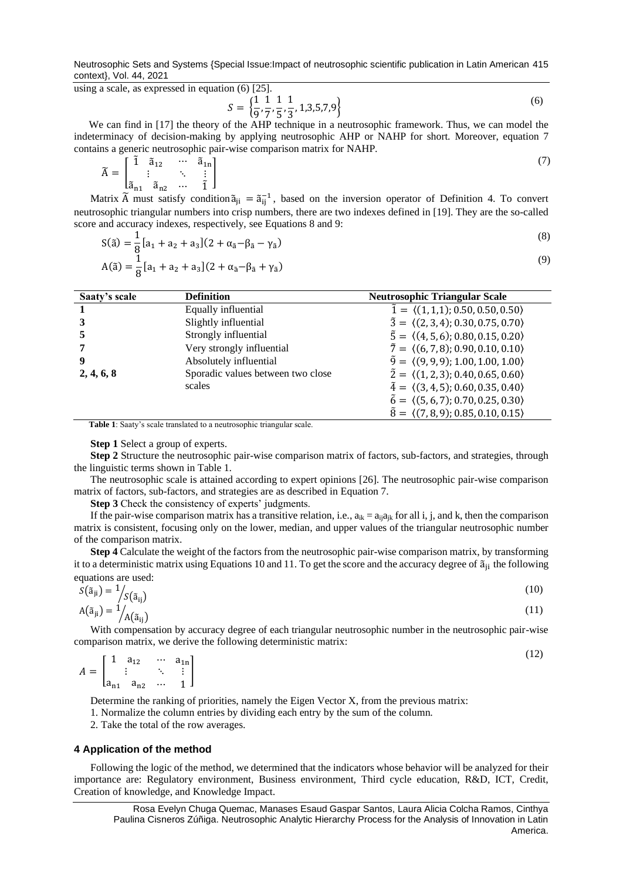Neutrosophic Sets and Systems {Special Issue:Impact of neutrosophic scientific publication in Latin American 415 context}, Vol. 44, 2021

using a scale, as expressed in equation (6) [25].

$$
S = \left\{ \frac{1}{9}, \frac{1}{7}, \frac{1}{5}, \frac{1}{3}, 1, 3, 5, 7, 9 \right\}
$$
(6)

We can find in [17] the theory of the AHP technique in a neutrosophic framework. Thus, we can model the indeterminacy of decision-making by applying neutrosophic AHP or NAHP for short. Moreover, equation 7 contains a generic neutrosophic pair-wise comparison matrix for NAHP.

$$
\widetilde{A} = \begin{bmatrix} \widetilde{1} & \widetilde{a}_{12} & \cdots & \widetilde{a}_{1n} \\ \vdots & \ddots & \vdots \\ \widetilde{a}_{n1} & \widetilde{a}_{n2} & \cdots & \widetilde{1} \end{bmatrix}
$$
\n(7)

Matrix  $\tilde{A}$  must satisfy condition  $\tilde{a}_{ji} = \tilde{a}_{ij}^{-1}$ , based on the inversion operator of Definition 4. To convert neutrosophic triangular numbers into crisp numbers, there are two indexes defined in [19]. They are the so-called score and accuracy indexes, respectively, see Equations 8 and 9:

$$
S(\tilde{a}) = \frac{1}{8} [a_1 + a_2 + a_3] (2 + \alpha_{\tilde{a}} - \beta_{\tilde{a}} - \gamma_{\tilde{a}})
$$
\n(8)

$$
A(\tilde{a}) = \frac{1}{8} [a_1 + a_2 + a_3] (2 + \alpha_{\tilde{a}} - \beta_{\tilde{a}} + \gamma_{\tilde{a}})
$$

| Saaty's scale | <b>Definition</b>                 | <b>Neutrosophic Triangular Scale</b>                      |
|---------------|-----------------------------------|-----------------------------------------------------------|
|               | Equally influential               | $\tilde{1} = \langle (1,1,1); 0.50, 0.50, 0.50 \rangle$   |
|               | Slightly influential              | $\tilde{3} = \langle (2,3,4); 0.30, 0.75, 0.70 \rangle$   |
|               | Strongly influential              | $\tilde{5} = \langle (4, 5, 6); 0.80, 0.15, 0.20 \rangle$ |
|               | Very strongly influential         | $\tilde{7} = \langle (6, 7, 8); 0.90, 0.10, 0.10 \rangle$ |
| 9             | Absolutely influential            | $\tilde{9} = \langle (9, 9, 9); 1.00, 1.00, 1.00 \rangle$ |
| 2, 4, 6, 8    | Sporadic values between two close | $\tilde{2} = \langle (1,2,3); 0.40, 0.65, 0.60 \rangle$   |
|               | scales                            | $\tilde{4} = \langle (3, 4, 5); 0.60, 0.35, 0.40 \rangle$ |
|               |                                   | $\tilde{6} = \langle (5, 6, 7); 0.70, 0.25, 0.30 \rangle$ |
|               |                                   | $\tilde{8} = \langle (7,8,9); 0.85, 0.10, 0.15 \rangle$   |

**Table 1**: Saaty's scale translated to a neutrosophic triangular scale.

**Step 1** Select a group of experts.

**Step 2** Structure the neutrosophic pair-wise comparison matrix of factors, sub-factors, and strategies, through the linguistic terms shown in Table 1.

The neutrosophic scale is attained according to expert opinions [26]. The neutrosophic pair-wise comparison matrix of factors, sub-factors, and strategies are as described in Equation 7.

**Step 3** Check the consistency of experts' judgments.

If the pair-wise comparison matrix has a transitive relation, i.e.,  $a_{ik} = a_{ij}a_{jk}$  for all i, j, and k, then the comparison matrix is consistent, focusing only on the lower, median, and upper values of the triangular neutrosophic number of the comparison matrix.

**Step 4** Calculate the weight of the factors from the neutrosophic pair-wise comparison matrix, by transforming it to a deterministic matrix using Equations 10 and 11. To get the score and the accuracy degree of  $\tilde{a}_{ii}$  the following equations are used:

$$
S(\tilde{a}_{ji}) = \frac{1}{S(\tilde{a}_{ij})}
$$
  
\n
$$
A(\tilde{a}_{ji}) = \frac{1}{A(\tilde{a}_{ij})}
$$
\n(10)

With compensation by accuracy degree of each triangular neutrosophic number in the neutrosophic pair-wise comparison matrix, we derive the following deterministic matrix:

(12)

$$
A = \begin{bmatrix} 1 & a_{12} & \cdots & a_{1n} \\ \vdots & & \ddots & \vdots \\ a_{n1} & a_{n2} & \cdots & 1 \end{bmatrix}
$$

Determine the ranking of priorities, namely the Eigen Vector X, from the previous matrix:

1. Normalize the column entries by dividing each entry by the sum of the column.

2. Take the total of the row averages.

## **4 Application of the method**

Following the logic of the method, we determined that the indicators whose behavior will be analyzed for their importance are: Regulatory environment, Business environment, Third cycle education, R&D, ICT, Credit, Creation of knowledge, and Knowledge Impact.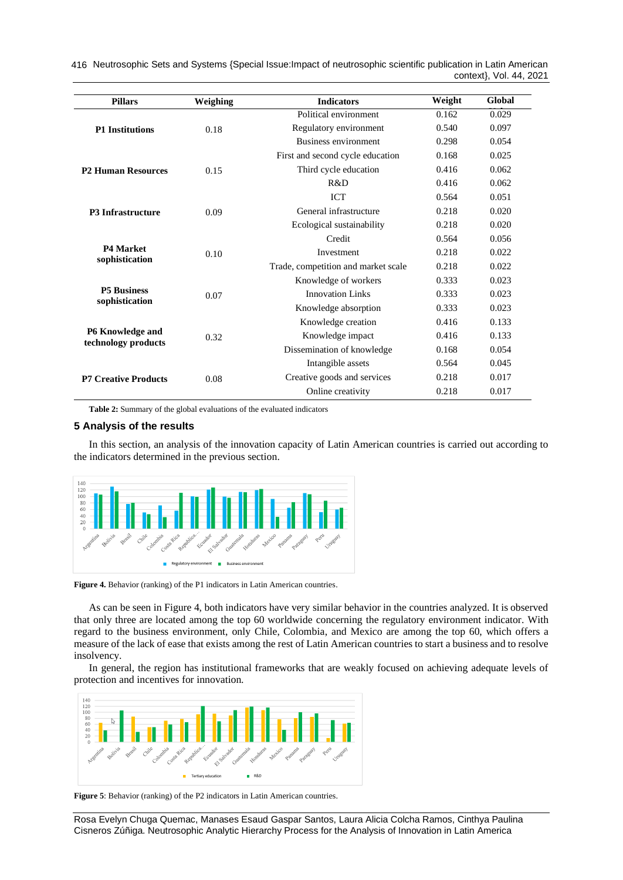416 Neutrosophic Sets and Systems {Special Issue:Impact of neutrosophic scientific publication in Latin American context}, Vol. 44, 2021

| <b>Pillars</b>              | Weighing | <b>Indicators</b>                   | Weight | Global |
|-----------------------------|----------|-------------------------------------|--------|--------|
|                             | 0.18     | Political environment               | 0.162  | 0.029  |
| <b>P1 Institutions</b>      |          | Regulatory environment              | 0.540  | 0.097  |
|                             |          | <b>Business environment</b>         | 0.298  | 0.054  |
|                             | 0.15     | First and second cycle education    | 0.168  | 0.025  |
| <b>P2 Human Resources</b>   |          | Third cycle education               | 0.416  | 0.062  |
|                             |          | R&D                                 | 0.416  | 0.062  |
|                             | 0.09     | <b>ICT</b>                          | 0.564  | 0.051  |
| <b>P3 Infrastructure</b>    |          | General infrastructure              | 0.218  | 0.020  |
|                             |          | Ecological sustainability           | 0.218  | 0.020  |
|                             | 0.10     | Credit                              | 0.564  | 0.056  |
| <b>P4 Market</b>            |          | Investment                          | 0.218  | 0.022  |
| sophistication              |          | Trade, competition and market scale | 0.218  | 0.022  |
|                             |          | Knowledge of workers                | 0.333  | 0.023  |
| <b>P5 Business</b>          | 0.07     | Innovation Links                    | 0.333  | 0.023  |
| sophistication              |          | Knowledge absorption                | 0.333  | 0.023  |
|                             | 0.32     | Knowledge creation                  | 0.416  | 0.133  |
| <b>P6 Knowledge and</b>     |          | Knowledge impact                    | 0.416  | 0.133  |
| technology products         |          | Dissemination of knowledge          | 0.168  | 0.054  |
|                             |          | Intangible assets                   | 0.564  | 0.045  |
| <b>P7 Creative Products</b> | 0.08     | Creative goods and services         | 0.218  | 0.017  |
|                             |          | Online creativity                   | 0.218  | 0.017  |

**Table 2:** Summary of the global evaluations of the evaluated indicators

### **5 Analysis of the results**

In this section, an analysis of the innovation capacity of Latin American countries is carried out according to the indicators determined in the previous section.



**Figure 4.** Behavior (ranking) of the P1 indicators in Latin American countries.

As can be seen in Figure 4, both indicators have very similar behavior in the countries analyzed. It is observed that only three are located among the top 60 worldwide concerning the regulatory environment indicator. With regard to the business environment, only Chile, Colombia, and Mexico are among the top 60, which offers a measure of the lack of ease that exists among the rest of Latin American countries to start a business and to resolve insolvency.

In general, the region has institutional frameworks that are weakly focused on achieving adequate levels of protection and incentives for innovation.



**Figure 5**: Behavior (ranking) of the P2 indicators in Latin American countries.

Rosa Evelyn Chuga Quemac, Manases Esaud Gaspar Santos, Laura Alicia Colcha Ramos, Cinthya Paulina Cisneros Zúñiga. Neutrosophic Analytic Hierarchy Process for the Analysis of Innovation in Latin America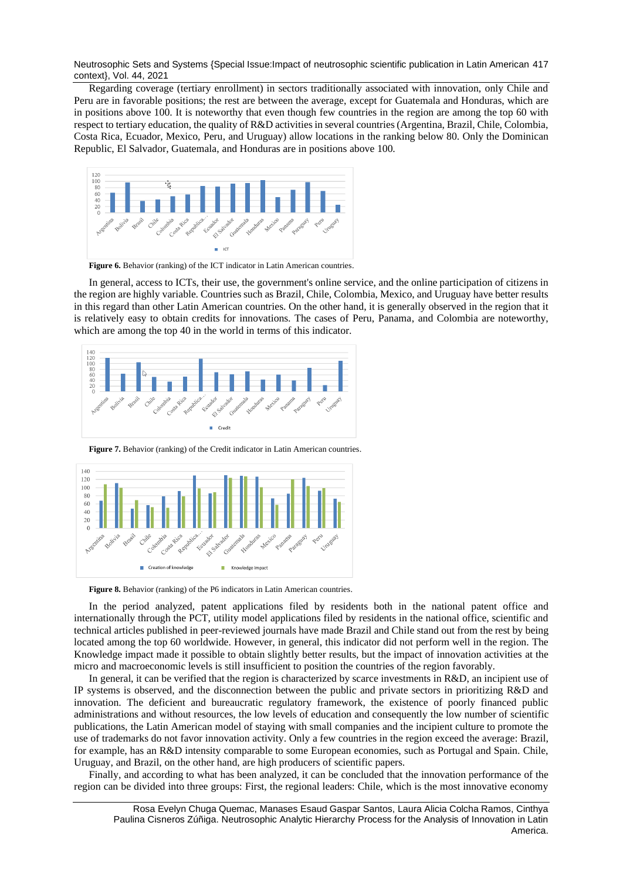Neutrosophic Sets and Systems {Special Issue:Impact of neutrosophic scientific publication in Latin American 417 context}, Vol. 44, 2021

Regarding coverage (tertiary enrollment) in sectors traditionally associated with innovation, only Chile and Peru are in favorable positions; the rest are between the average, except for Guatemala and Honduras, which are in positions above 100. It is noteworthy that even though few countries in the region are among the top 60 with respect to tertiary education, the quality of R&D activities in several countries (Argentina, Brazil, Chile, Colombia, Costa Rica, Ecuador, Mexico, Peru, and Uruguay) allow locations in the ranking below 80. Only the Dominican Republic, El Salvador, Guatemala, and Honduras are in positions above 100.



**Figure 6.** Behavior (ranking) of the ICT indicator in Latin American countries.

In general, access to ICTs, their use, the government's online service, and the online participation of citizens in the region are highly variable. Countries such as Brazil, Chile, Colombia, Mexico, and Uruguay have better results in this regard than other Latin American countries. On the other hand, it is generally observed in the region that it is relatively easy to obtain credits for innovations. The cases of Peru, Panama, and Colombia are noteworthy, which are among the top 40 in the world in terms of this indicator.



**Figure 7.** Behavior (ranking) of the Credit indicator in Latin American countries.



Figure 8. Behavior (ranking) of the P6 indicators in Latin American countries.

In the period analyzed, patent applications filed by residents both in the national patent office and internationally through the PCT, utility model applications filed by residents in the national office, scientific and technical articles published in peer-reviewed journals have made Brazil and Chile stand out from the rest by being located among the top 60 worldwide. However, in general, this indicator did not perform well in the region. The Knowledge impact made it possible to obtain slightly better results, but the impact of innovation activities at the micro and macroeconomic levels is still insufficient to position the countries of the region favorably.

In general, it can be verified that the region is characterized by scarce investments in R&D, an incipient use of IP systems is observed, and the disconnection between the public and private sectors in prioritizing R&D and innovation. The deficient and bureaucratic regulatory framework, the existence of poorly financed public administrations and without resources, the low levels of education and consequently the low number of scientific publications, the Latin American model of staying with small companies and the incipient culture to promote the use of trademarks do not favor innovation activity. Only a few countries in the region exceed the average: Brazil, for example, has an R&D intensity comparable to some European economies, such as Portugal and Spain. Chile, Uruguay, and Brazil, on the other hand, are high producers of scientific papers.

Finally, and according to what has been analyzed, it can be concluded that the innovation performance of the region can be divided into three groups: First, the regional leaders: Chile, which is the most innovative economy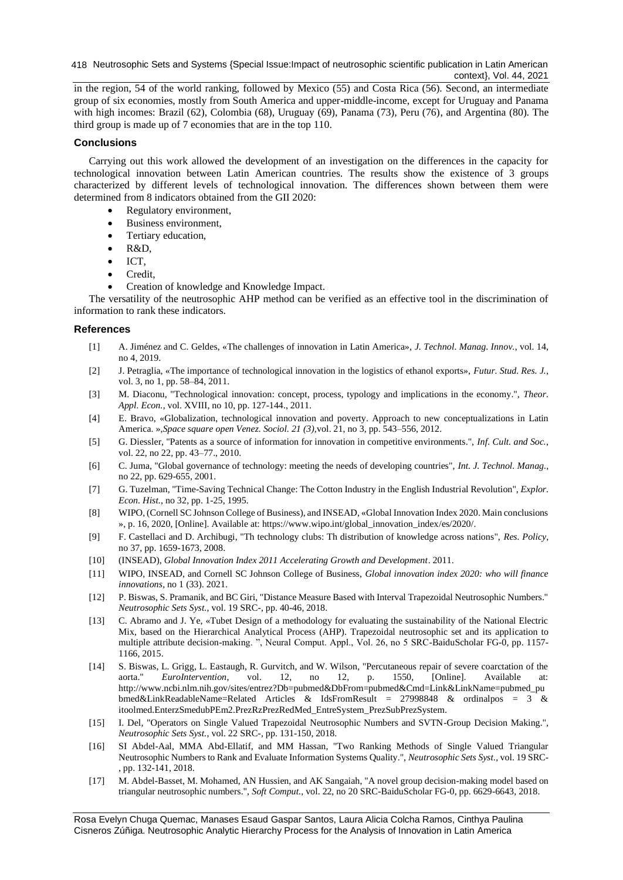418 Neutrosophic Sets and Systems {Special Issue:Impact of neutrosophic scientific publication in Latin American context}, Vol. 44, 2021

in the region, 54 of the world ranking, followed by Mexico (55) and Costa Rica (56). Second, an intermediate group of six economies, mostly from South America and upper-middle-income, except for Uruguay and Panama with high incomes: Brazil (62), Colombia (68), Uruguay (69), Panama (73), Peru (76), and Argentina (80). The third group is made up of 7 economies that are in the top 110.

## **Conclusions**

Carrying out this work allowed the development of an investigation on the differences in the capacity for technological innovation between Latin American countries. The results show the existence of 3 groups characterized by different levels of technological innovation. The differences shown between them were determined from 8 indicators obtained from the GII 2020:

- Regulatory environment,
- Business environment,
- Tertiary education,
- R&D,
- ICT,
- Credit,
- Creation of knowledge and Knowledge Impact.

The versatility of the neutrosophic AHP method can be verified as an effective tool in the discrimination of information to rank these indicators.

# **References**

- [1] A. Jiménez and C. Geldes, «The challenges of innovation in Latin America», *J. Technol. Manag. Innov.*, vol. 14, no 4, 2019.
- [2] J. Petraglia, «The importance of technological innovation in the logistics of ethanol exports», *Futur. Stud. Res. J.*, vol. 3, no 1, pp. 58–84, 2011.
- [3] M. Diaconu, "Technological innovation: concept, process, typology and implications in the economy.", *Theor. Appl. Econ.*, vol. XVIII, no 10, pp. 127-144., 2011.
- [4] E. Bravo, «Globalization, technological innovation and poverty. Approach to new conceptualizations in Latin America. »,*Space square open Venez. Sociol. 21 (3),*vol. 21, no 3, pp. 543–556, 2012.
- [5] G. Diessler, "Patents as a source of information for innovation in competitive environments.", *Inf. Cult. and Soc.*, vol. 22, no 22, pp. 43–77., 2010.
- [6] C. Juma, "Global governance of technology: meeting the needs of developing countries", *Int. J. Technol. Manag.*, no 22, pp. 629-655, 2001.
- [7] G. Tuzelman, "Time-Saving Technical Change: The Cotton Industry in the English Industrial Revolution", *Explor. Econ. Hist.*, no 32, pp. 1-25, 1995.
- [8] WIPO, (Cornell SC Johnson College of Business), and INSEAD, «Global Innovation Index 2020. Main conclusions », p. 16, 2020, [Online]. Available at: https://www.wipo.int/global\_innovation\_index/es/2020/.
- [9] F. Castellaci and D. Archibugi, "Th technology clubs: Th distribution of knowledge across nations", *Res. Policy*, no 37, pp. 1659-1673, 2008.
- [10] (INSEAD), *Global Innovation Index 2011 Accelerating Growth and Development*. 2011.
- [11] WIPO, INSEAD, and Cornell SC Johnson College of Business, *Global innovation index 2020: who will finance innovations*, no 1 (33). 2021.
- [12] P. Biswas, S. Pramanik, and BC Giri, "Distance Measure Based with Interval Trapezoidal Neutrosophic Numbers." *Neutrosophic Sets Syst.*, vol. 19 SRC-, pp. 40-46, 2018.
- [13] C. Abramo and J. Ye, «Tubet Design of a methodology for evaluating the sustainability of the National Electric Mix, based on the Hierarchical Analytical Process (AHP). Trapezoidal neutrosophic set and its application to multiple attribute decision-making. ", Neural Comput. Appl., Vol. 26, no 5 SRC-BaiduScholar FG-0, pp. 1157- 1166, 2015.
- [14] S. Biswas, L. Grigg, L. Eastaugh, R. Gurvitch, and W. Wilson, "Percutaneous repair of severe coarctation of the aorta." *EuroIntervention*, vol. 12, no 12, p. 1550, [Online]. Available http://www.ncbi.nlm.nih.gov/sites/entrez?Db=pubmed&DbFrom=pubmed&Cmd=Link&LinkName=pubmed\_pu bmed&LinkReadableName=Related Articles & IdsFromResult = 27998848 & ordinalpos = 3 & itoolmed.EnterzSmedubPEm2.PrezRzPrezRedMed\_EntreSystem\_PrezSubPrezSystem.
- [15] I. Del, "Operators on Single Valued Trapezoidal Neutrosophic Numbers and SVTN-Group Decision Making.", *Neutrosophic Sets Syst.*, vol. 22 SRC-, pp. 131-150, 2018.
- [16] SI Abdel-Aal, MMA Abd-Ellatif, and MM Hassan, "Two Ranking Methods of Single Valued Triangular Neutrosophic Numbers to Rank and Evaluate Information Systems Quality.", *Neutrosophic Sets Syst.*, vol. 19 SRC- , pp. 132-141, 2018.
- [17] M. Abdel-Basset, M. Mohamed, AN Hussien, and AK Sangaiah, "A novel group decision-making model based on triangular neutrosophic numbers.", *Soft Comput.*, vol. 22, no 20 SRC-BaiduScholar FG-0, pp. 6629-6643, 2018.